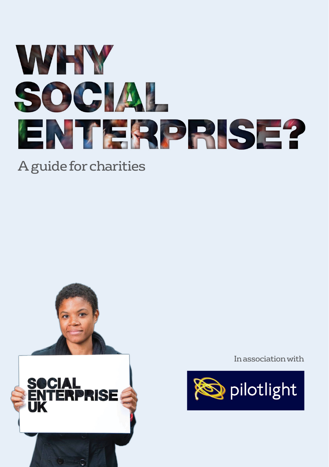

# A guide for charities



In association with

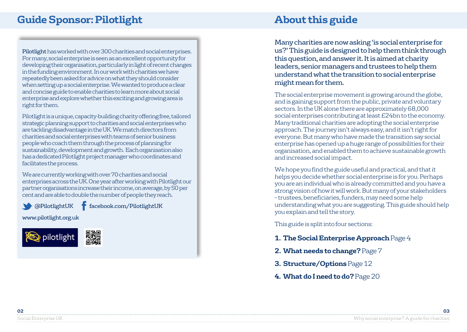# **Guide Sponsor: Pilotlight About this guide**

Pilotlight has worked with over 300 charities and social enterprises. For many, social enterprise is seen as an excellent opportunity for developing their organisation, particularly in light of recent changes in the funding environment. In our work with charities we have repeatedly been asked for advice on what they should consider when setting up a social enterprise. We wanted to produce a clear and concise guide to enable charities to learn more about social enterprise and explore whether this exciting and growing area is right for them.

Pilotlight is a unique, capacity-building charity offering free, tailored strategic planning support to charities and social enterprises who are tackling disadvantage in the UK. We match directors from charities and social enterprises with teams of senior business people who coach them through the process of planning for sustainability, development and growth. Each organisation also has a dedicated Pilotlight project manager who coordinates and facilitates the process.

We are currently working with over 70 charities and social enterprises across the UK. One year after working with Pilotlight our partner organisations increase their income, on average, by 50 per cent and are able to double the number of people they reach.

@PilotlightUK facebook.com/PilotlightUK

www.pilotlight.org.uk



Many charities are now asking 'is social enterprise for us?' This guide is designed to help them think through this question, and answer it. It is aimed at charity leaders, senior managers and trustees to help them understand what the transition to social enterprise might mean for them.

The social enterprise movement is growing around the globe, and is gaining support from the public, private and voluntary sectors. In the UK alone there are approximately 68,000 social enterprises contributing at least £24bn to the economy. Many traditional charities are adopting the social enterprise approach. The journey isn't always easy, and it isn't right for everyone. But many who have made the transition say social enterprise has opened up a huge range of possibilities for their organisation, and enabled them to achieve sustainable growth and increased social impact.

We hope you find the guide useful and practical, and that it helps you decide whether social enterprise is for you. Perhaps you are an individual who is already committed and you have a strong vision of how it will work. But many of your stakeholders – trustees, beneficiaries, funders, may need some help understanding what you are suggesting. This guide should help you explain and tell the story.

This guide is split into four sections:

- **1. The Social Enterprise Approach** Page 4
- **2. What needs to change?**Page 7
- **3. Structure/Options**Page 12
- **4. What do I need to do?**Page 20

Social Enterprise UK Why social enterprise? A guide for charities **02 03**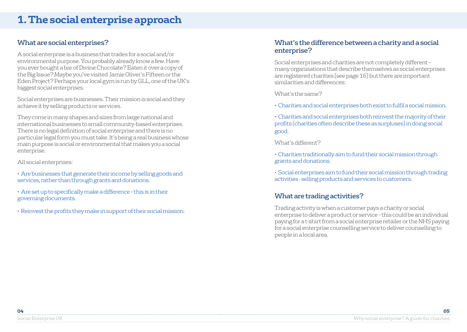#### What are social enterprises?

A social enterprise is a business that trades for a social and/or environmental purpose. You probably already know a few. Have you ever bought a bar of Divine Chocolate? Eaten it over a copy of the Big Issue? Maybe you've visited Jamie Oliver's Fifteen or the Eden Project? Perhaps your local gym is run by GLL, one of the UK's biggest social enterprises.

Social enterprises are businesses. Their mission is social and they achieve it by selling products or services.

They come in many shapes and sizes from large national and international businesses to small community-based enterprises. There is no legal definition of social enterprise and there is no particular legal form you must take. It's being a real business whose main purpose is social or environmental that makes you a social enterprise.

All social enterprises:

• Are businesses that generate their income by selling goods and services, rather than through grants and donations.

- Are set up to specifically make a difference this is in their governing documents.
- Reinvest the profits they make in support of their social mission.

#### What's the difference between a charity and a social enterprise?

Social enterprises and charities are not completely different – many organisations that describe themselves as social enterprises are registered charities (see page 16) but there are important similarities and differences:

What's the same?

- Charities and social enterprises both exist to fulfil a social mission.
- Charities and social enterprises both reinvest the majority of their profits (charities often describe these as surpluses) in doing social good.

What's different?

- Charities traditionally aim to fund their social mission through grants and donations.
- Social enterprises aim to fund their social mission through trading activities - selling products and services to customers.

#### What are trading activities?

Trading activity is when a customer pays a charity or social enterprise to deliver a product or service – this could be an individual paying for a t-shirt from a social enterprise retailer or the NHS paying for a social enterprise counselling service to deliver counselling to people in a local area.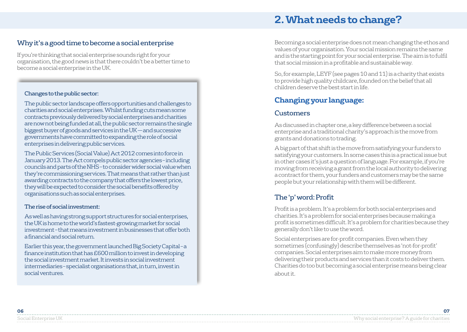# **2. What needs to change?**

#### Why it's a good time to become a social enterprise

If you're thinking that social enterprise sounds right for your organisation, the good news is that there couldn't be a better time to become a social enterprise in the UK.

#### Changes to the public sector:

The public sector landscape offers opportunities and challenges to charities and social enterprises. Whilst funding cuts mean some contracts previously delivered by social enterprises and charities are now not being funded at all, the public sector remains the single biggest buyer of goods and services in the UK –– and successive governments have committed to expanding the role of social enterprises in delivering public services.

The Public Services (Social Value) Act 2012 comes into force in January 2013. The Act compels public sector agencies – including councils and parts of the NHS – to consider wider social value when they're commissioning services. That means that rather than just awarding contracts to the company that offers the lowest price, they will be expected to consider the social benefits offered by organisations such as social enterprises.

#### The rise of social investment:

As well as having strong support structures for social enterprises, the UK is home to the world's fastest-growing market for social investment – that means investment in businesses that offer both a financial and social return.

Earlier this year, the government launched Big Society Capital – a finance institution that has £600 million to invest in developing the social investment market. It invests in social investment intermediaries – specialist organisations that, in turn, invest in social ventures.

Becoming a social enterprise does not mean changing the ethos and values of your organisation. Your social mission remains the same and is the starting point for your social enterprise. The aim is to fulfil that social mission in a profitable and sustainable way.

So, for example, LEYF (see pages 10 and 11) is a charity that exists to provide high quality childcare, founded on the belief that all children deserve the best start in life.

## **Changing your language:**

#### **Customers**

As discussed in chapter one, a key difference between a social enterprise and a traditional charity's approach is the move from grants and donations to trading.

A big part of that shift is the move from satisfying your funders to satisfying your customers. In some cases this is a practical issue but in other cases it's just a question of language. For example, if you're moving from receiving a grant from the local authority to delivering a contract for them, your funders and customers may be the same people but your relationship with them will be different.

#### The 'p' word: Profit

Profit is a problem. It's a problem for both social enterprises and charities. It's a problem for social enterprises because making a profit is sometimes difficult. It's a problem for charities because they generally don't like to use the word.

Social enterprises are for-profit companies. Even when they sometimes (confusingly) describe themselves as 'not-for-profit' companies. Social enterprises aim to make more money from delivering their products and services than it costs to deliver them. Charities do too but becoming a social enterprise means being clear about it.

| 06 |  |
|----|--|
| .  |  |
|    |  |
| .  |  |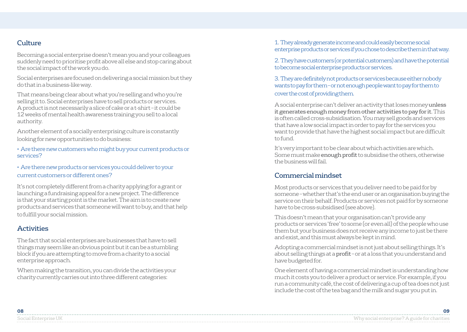#### Culture

Becoming a social enterprise doesn't mean you and your colleagues suddenly need to prioritise profit above all else and stop caring about the social impact of the work you do.

Social enterprises are focused on delivering a social mission but they do that in a business-like way.

That means being clear about what you're selling and who you're selling it to. Social enterprises have to sell products or services. A product is not necessarily a slice of cake or a t-shirt – it could be 12 weeks of mental health awareness training you sell to a local authority.

Another element of a socially enterprising culture is constantly looking for new opportunities to do business:

• Are there new customers who might buy your current products or services?

• Are there new products or services you could deliver to your current customers or different ones?

It's not completely different from a charity applying for a grant or launching a fundraising appeal for a new project. The difference is that your starting point is the market. The aim is to create new products and services that someone will want to buy, and that help to fulfill your social mission.

#### **Activities**

The fact that social enterprises are businesses that have to sell things may seem like an obvious point but it can be a stumbling block if you are attempting to move from a charity to a social enterprise approach.

When making the transition, you can divide the activities your charity currently carries out into three different categories:

1. They already generate income and could easily become social enterprise products or services if you chose to describe them in that way.

2. They have customers (or potential customers) and have the potential to become social enterprise products or services.

3. They are definitely not products or services because either nobody wants to pay for them – or not enough people want to pay for them to cover the cost of providing them.

A social enterprise can't deliver an activity that loses money unless it generates enough money from other activities to pay for it. This is often called cross-subsidisation. You may sell goods and services that have a low social impact in order to pay for the services you want to provide that have the highest social impact but are difficult to fund.

It's very important to be clear about which activities are which. Some must make enough profit to subsidise the others, otherwise the business will fail.

#### Commercial mindset

Most products or services that you deliver need to be paid for by someone – whether that's the end user or an organisation buying the service on their behalf. Products or services not paid for by someone have to be cross-subsidised (see above).

This doesn't mean that your organisation can't provide any products or services 'free' to some (or even all) of the people who use them but your business does not receive any income to just be there and exist, and this must always be kept in mind.

Adopting a commercial mindset is not just about selling things. It's about selling things at a profit – or at a loss that you understand and have budgeted for.

One element of having a commercial mindset is understanding how much it costs you to deliver a product or service. For example, if you run a community café, the cost of delivering a cup of tea does not just include the cost of the tea bag and the milk and sugar you put in.

| 08            | ng |
|---------------|----|
|               |    |
| - hocial Fint |    |
|               |    |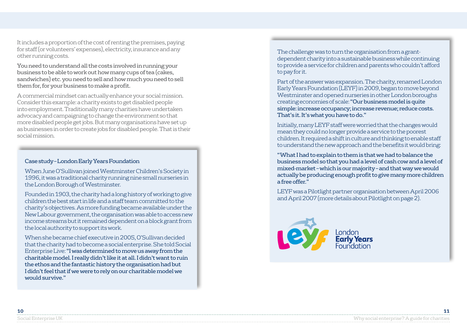It includes a proportion of the cost of renting the premises, paying for staff (or volunteers' expenses), electricity, insurance and any other running costs.

You need to understand all the costs involved in running your business to be able to work out how many cups of tea (cakes, sandwiches) etc. you need to sell and how much you need to sell them for, for your business to make a profit.

A commercial mindset can actually enhance your social mission. Consider this example: a charity exists to get disabled people into employment. Traditionally many charities have undertaken advocacy and campaigning to change the environment so that more disabled people get jobs. But many organisations have set up as businesses in order to create jobs for disabled people. That is their social mission.

#### Case study – London Early Years Foundation

When June O'Sullivan joined Westminster Children's Society in 1996, it was a traditional charity running nine small nurseries in the London Borough of Westminster.

Founded in 1903, the charity had a long history of working to give children the best start in life and a staff team committed to the charity's objectives. As more funding became available under the New Labour government, the organisation was able to access new income streams but it remained dependent on a block grant from the local authority to support its work.

When she became chief executive in 2005, O'Sullivan decided that the charity had to become a social enterprise. She told Social Enterprise Live: "I was determined to move us away from the charitable model. I really didn't like it at all. I didn't want to ruin the ethos and the fantastic history the organisation had but I didn't feel that if we were to rely on our charitable model we would survive."

The challenge was to turn the organisation from a grantdependent charity into a sustainable business while continuing to provide a service for children and parents who couldn't afford to pay for it.

Part of the answer was expansion. The charity, renamed London Early Years Foundation (LEYF) in 2009, began to move beyond Westminster and opened nurseries in other London boroughs creating economies of scale: "Our business model is quite simple: increase occupancy; increase revenue; reduce costs. That's it. It's what you have to do."

Initially, many LEYF staff were worried that the changes would mean they could no longer provide a service to the poorest children. It required a shift in culture and thinking to enable staff to understand the new approach and the benefits it would bring:

"What I had to explain to them is that we had to balance the business model so that you had a level of cash cow and a level of mixed-market – which is our majority – and that way we would actually be producing enough profit to give many more children a free offer."

LEYF was a Pilotlight partner organisation between April 2006 and April 2007 (more details about Pilotlight on page 2).

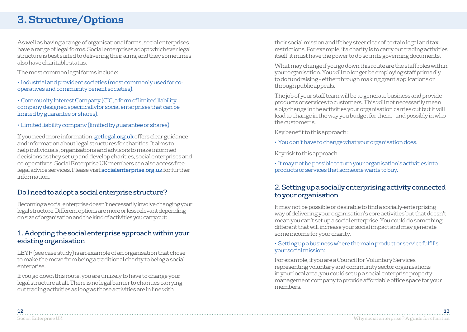# **3. Structure/Options**

As well as having a range of organisational forms, social enterprises have a range of legal forms. Social enterprises adopt whichever legal structure is best suited to delivering their aims, and they sometimes also have charitable status.

The most common legal forms include:

- Industrial and provident societies (most commonly used for cooperatives and community benefit societies).
- Community Interest Company (CIC, a form of limited liability company designed specificallyfor social enterprises that can be limited by guarantee or shares).
- Limited liability company (limited by guarantee or shares).

If you need more information, **getlegal.org.uk** offers clear guidance and information about legal structures for charities. It aims to help individuals, organisations and advisors to make informed decisions as they set up and develop charities, social enterprises and co-operatives. Social Enterprise UK members can also access free legal advice services. Please visit socialenterprise.org.uk for further information.

#### Do I need to adopt a social enterprise structure?

Becoming a social enterprise doesn't necessarily involve changing your legal structure. Different options are more or less relevant depending on size of organisation and the kind of activities you carry out:

#### 1. Adopting the social enterprise approach within your existing organisation

LEYF (see case study) is an example of an organisation that chose to make the move from being a traditional charity to being a social enterprise.

If you go down this route, you are unlikely to have to change your legal structure at all. There is no legal barrier to charities carrying out trading activities as long as those activities are in line with

their social mission and if they steer clear of certain legal and tax restrictions. For example, if a charity is to carry out trading activities itself, it must have the power to do so in its governing documents.

What may change if you go down this route are the staff roles within your organisation. You will no longer be employing staff primarily to do fundraising – either through making grant applications or through public appeals.

The job of your staff team will be to generate business and provide products or services to customers. This will not necessarily mean a big change in the activities your organisation carries out but it will lead to change in the way you budget for them – and possibly in who the customer is.

Key benefit to this approach :

• You don't have to change what your organisation does.

Key risk to this approach :

• It may not be possible to turn your organisation's activities into products or services that someone wants to buy.

#### 2. Setting up a socially enterprising activity connected to your organisation

It may not be possible or desirable to find a socially-enterprising way of delivering your organisation's core activities but that doesn't mean you can't set up a social enterprise. You could do something different that will increase your social impact and may generate some income for your charity.

• Setting up a business where the main product or service fulfills your social mission:

For example, if you are a Council for Voluntary Services representing voluntary and community sector organisations in your local area, you could set up a social enterprise property management company to provide affordable office space for your members.

| .             |                                             |
|---------------|---------------------------------------------|
| OUCLUL LILLUL | $1 \cap 1$ $1 \cup 1$<br>' ' A YIII I II II |
|               | .                                           |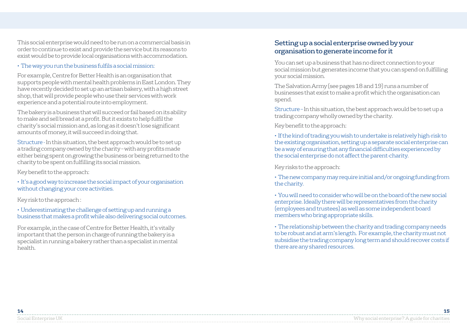This social enterprise would need to be run on a commercial basis in order to continue to exist and provide the service but its reasons to exist would be to provide local organisations with accommodation.

• The way you run the business fulfils a social mission:

For example, Centre for Better Health is an organisation that supports people with mental health problems in East London. They have recently decided to set up an artisan bakery, with a high street shop, that will provide people who use their services with work experience and a potential route into employment.

The bakery is a business that will succeed or fail based on its ability to make and sell bread at a profit. But it exists to help fulfil the charity's social mission and, as long as it doesn't lose significant amounts of money, it will succeed in doing that.

Structure - In this situation, the best approach would be to set up a trading company owned by the charity – with any profits made either being spent on growing the business or being returned to the charity to be spent on fulfilling its social mission.

Key benefit to the approach:

• It's a good way to increase the social impact of your organisation without changing your core activities.

Key risk to the approach :

• Underestimating the challenge of setting up and running a business that makes a profit while also delivering social outcomes.

For example, in the case of Centre for Better Health, it's vitally important that the person in charge of running the bakery is a specialist in running a bakery rather than a specialist in mental health.

#### Setting up a social enterprise owned by your organisation to generate income for it

You can set up a business that has no direct connection to your social mission but generates income that you can spend on fulfilling your social mission.

The Salvation Army (see pages 18 and 19) runs a number of businesses that exist to make a profit which the organisation can spend.

Structure – In this situation, the best approach would be to set up a trading company wholly owned by the charity.

Key benefit to the approach:

• If the kind of trading you wish to undertake is relatively high-risk to the existing organisation, setting up a separate social enterprise can be a way of ensuring that any financial difficulties experienced by the social enterprise do not affect the parent-charity.

Key risks to the approach:

• The new company may require initial and/or ongoing funding from the charity.

• You will need to consider who will be on the board of the new social enterprise. Ideally there will be representatives from the charity (employees and trustees) as well as some independent board members who bring appropriate skills.

• The relationship between the charity and trading company needs to be robust and at arm's length. For example, the charity must not subsidise the trading company long term and should recover costs if there are any shared resources.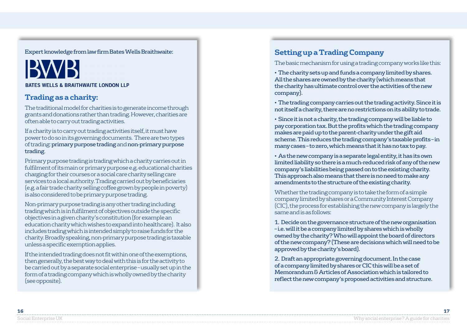Expert knowledge from law firm Bates Wells Braithwaite:

# **BATES WELLS & BRAITHWAITE LONDON LLP**

## **Trading as a charity:**

The traditional model for charities is to generate income through grants and donations rather than trading. However, charities are often able to carry out trading activities.

If a charity is to carry out trading activities itself, it must have power to do so in its governing documents. There are two types of trading: primary purpose trading and non-primary purpose trading.

Primary purpose trading is trading which a charity carries out in fulfilment of its main or primary purpose e.g. educational charities charging for their courses or a social care charity selling care services to a local authority. Trading carried out by beneficiaries (e.g. a fair trade charity selling coffee grown by people in poverty) is also considered to be primary purpose trading.

Non-primary purpose trading is any other trading including trading which is in fulfilment of objectives outside the specific objectives in a given charity's constitution (for example an education charity which wishes to expand into healthcare). It also includes trading which is intended simply to raise funds for the charity. Broadly speaking, non-primary purpose trading is taxable unless a specific exemption applies.

If the intended trading does not fit within one of the exemptions, then generally, the best way to deal with this is for the activity to be carried out by a separate social enterprise – usually set up in the form of a trading company which is wholly owned by the charity (see opposite).

## **Setting up a Trading Company**

The basic mechanism for using a trading company works like this:

• The charity sets up and funds a company limited by shares. All the shares are owned by the charity (which means that the charity has ultimate control over the activities of the new company).

• The trading company carries out the trading activity. Since it is not itself a charity, there are no restrictions on its ability to trade.

• Since it is not a charity, the trading company will be liable to pay corporation tax. But the profits which the trading company makes are paid up to the parent-charity under the gift aid scheme. This reduces the trading company's taxable profits – in many cases – to zero, which means that it has no tax to pay.

• As the new company is a separate legal entity, it has its own limited liability so there is a much-reduced risk of any of the new company's liabilities being passed on to the existing charity. This approach also means that there is no need to make any amendments to the structure of the existing charity.

Whether the trading company is to take the form of a simple company limited by shares or a Community Interest Company (CIC), the process for establishing the new company is largely the same and is as follows:

1. Decide on the governance structure of the new organisation – i.e. will it be a company limited by shares which is wholly owned by the charity? Who will appoint the board of directors of the new company? (These are decisions which will need to be approved by the charity's board).

2. Draft an appropriate governing document. In the case of a company limited by shares or CIC this will be a set of Memorandum & Articles of Association which is tailored to reflect the new company's proposed activities and structure.

| 10<br>τo            |                      |
|---------------------|----------------------|
|                     |                      |
| Social Enternrise I | a Anira A Sezirmetre |
|                     |                      |
|                     |                      |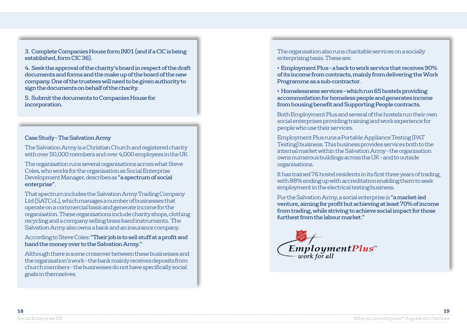3. Complete Companies House form IN01 (and if a CIC is being established, form CIC 36).

4. Seek the approval of the charity's board in respect of the draft documents and forms and the make up of the board of the new company. One of the trustees will need to be given authority to sign the documents on behalf of the charity.

5. Submit the documents to Companies House for incorporation.

#### Case Study – The Salvation Army

The Salvation Army is a Christian Church and registered charity with over 50,000 members and over 4,000 employees in the UK.

The organisation runs several organisations across what Steve Coles, who works for the organisation as Social Enterprise Development Manager, describes as "a spectrum of social enterprise".

That spectrum includes the Salvation Army Trading Company Ltd (SATCoL), which manages a number of businesses that operate on a commercial basis and generate income for the organisation. These organisations include charity shops, clothing recycling and a company selling brass band instruments. The Salvation Army also owns a bank and an insurance company.

According to Steve Coles: "Their job is to sell stuff at a profit and hand the money over to the Salvation Army."

Although there is some crossover between these businesses and the organisation's work – the bank mainly receives deposits from church members – the businesses do not have specifically social goals in themselves.

The organisation also runs charitable services on a socially enterprising basis. These are:

• Employment Plus – a back to work service that receives 90% of its income from contracts, mainly from delivering the Work Programme as a sub-contractor.

• Homelessness services – which run 65 hostels providing accommodation for homeless people and generates income from housing benefit and Supporting People contracts.

Both Employment Plus and several of the hostels run their own social enterprises providing training and work experience for people who use their services.

Employment Plus runs a Portable Appliance Testing (PAT Testing) business. This business provides services both to the internal market within the Salvation Army – the organisation owns numerous buildings across the UK – and to outside organisations.

It has trained 76 hostel residents in its first three years of trading, with 88% ending up with accreditation enabling them to seek employment in the electrical testing business.

For the Salvation Army, a social enterprise is "a market-led venture, aiming for profit but achieving at least 70% of income from trading, while striving to achieve social impact for those furthest from the labour market."

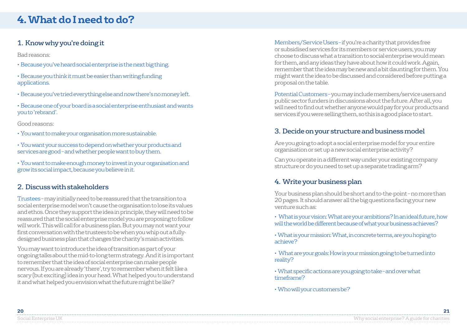# **4. What do I need to do?**

#### 1. Know why you're doing it

Bad reasons:

- Because you've heard social enterprise is the next big thing.
- Because you think it must be easier than writing funding applications.
- Because you've tried everything else and now there's no money left.
- Because one of your board is a social enterprise enthusiast and wants you to 'rebrand'.

Good reasons:

- You want to make your organisation more sustainable.
- You want your success to depend on whether your products and services are good – and whether people want to buy them.

• You want to make enough money to invest in your organisation and grow its social impact, because you believe in it.

#### 2. Discuss with stakeholders

Trustees – may initially need to be reassured that the transition to a social enterprise model won't cause the organisation to lose its values and ethos. Once they support the idea in principle, they will need to be reassured that the social enterprise model you are proposing to follow will work. This will call for a business plan. But you may not want your first conversation with the trustees to be when you whip out a fullydesigned business plan that changes the charity's main activities.

You may want to introduce the idea of transition as part of your ongoing talks about the mid-to-long term strategy. And it is important to remember that the idea of social enterprise can make people nervous. If you are already 'there', try to remember when it felt like a scary (but exciting) idea in your head. What helped you to understand it and what helped you envision what the future might be like?

Members/Service Users – if you're a charity that provides free or subsidised services for its members or service users, you may choose to discuss what a transition to social enterprise would mean for them, and any ideas they have about how it could work. Again, remember that the idea may be new and a bit daunting for them. You might want the idea to be discussed and considered before putting a proposal on the table.

Potential Customers – you may include members/service users and public sector funders in discussions about the future. After all, you will need to find out whether anyone would pay for your products and services if you were selling them, so this is a good place to start.

#### 3. Decide on your structure and business model

Are you going to adopt a social enterprise model for your entire organisation or set up a new social enterprise activity?

Can you operate in a different way under your existing company structure or do you need to set up a separate trading arm?

#### 4. Write your business plan

Your business plan should be short and to-the-point – no more than 20 pages. It should answer all the big questions facing your new venture such as:

- What is your vision: What are your ambitions? In an ideal future, how will the world be different because of what your business achieves?
- What is your mission: What, in concrete terms, are you hoping to achieve?

• What are your goals: How is your mission going to be turned into reality?

• What specific actions are you going to take – and over what timeframe?

• Who will your customers be?

| -20          |  |
|--------------|--|
|              |  |
| bocial Ente. |  |
|              |  |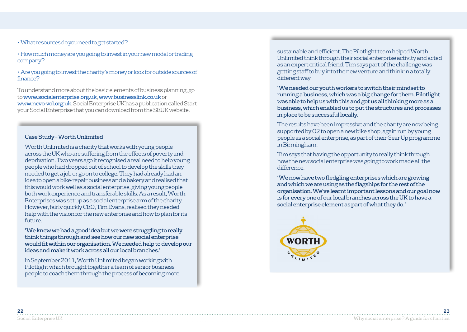- What resources do you need to get started?
- How much money are you going to invest in your new model or trading company?
- Are you going to invest the charity's money or look for outside sources of finance?

To understand more about the basic elements of business planning, go to www.socialenterprise.org.uk, www.businesslink.co.uk or www.ncvo-vol.org.uk. Social Enterprise UK has a publication called Start your Social Enterprise that you can download from the SEUK website.

#### Case Study – Worth Unlimited

Worth Unlimited is a charity that works with young people across the UK who are suffering from the effects of poverty and deprivation. Two years ago it recognised a real need to help young people who had dropped out of school to develop the skills they needed to get a job or go on to college. They had already had an idea to open a bike-repair business and a bakery and realised that this would work well as a social enterprise, giving young people both work experience and transferable skills. As a result, Worth Enterprises was set up as a social enterprise arm of the charity. However, fairly quickly CEO, Tim Evans, realised they needed help with the vision for the new enterprise and how to plan for its  $f$ uture

'We knew we had a good idea but we were struggling to really think things through and see how our new social enterprise would fit within our organisation. We needed help to develop our ideas and make it work across all our local branches.'

In September 2011, Worth Unlimited began working with Pilotlight which brought together a team of senior business people to coach them through the process of becoming more sustainable and efficient. The Pilotlight team helped Worth Unlimited think through their social enterprise activity and acted as an expert critical friend. Tim says part of the challenge was getting staff to buy into the new venture and think in a totally different way.

'We needed our youth workers to switch their mindset to running a business, which was a big change for them. Pilotlight was able to help us with this and got us all thinking more as a business, which enabled us to put the structures and processes in place to be successful locally.'

The results have been impressive and the charity are now being supported by O2 to open a new bike shop, again run by young people as a social enterprise, as part of their Gear Up programme in Birmingham.

Tim says that having the opportunity to really think through how the new social enterprise was going to work made all the difference.

'We now have two fledgling enterprises which are growing and which we are using as the flagships for the rest of the organisation. We've learnt important lessons and our goal now is for every one of our local branches across the UK to have a social enterprise element as part of what they do.'